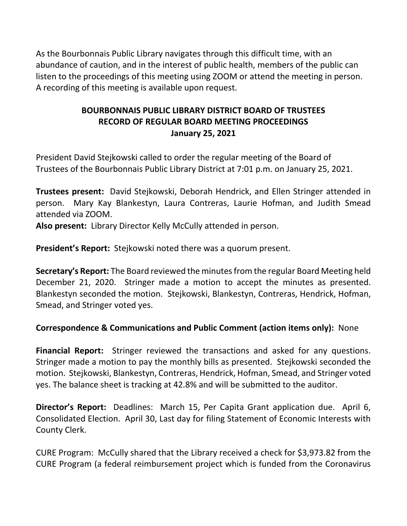As the Bourbonnais Public Library navigates through this difficult time, with an abundance of caution, and in the interest of public health, members of the public can listen to the proceedings of this meeting using ZOOM or attend the meeting in person. A recording of this meeting is available upon request.

# **BOURBONNAIS PUBLIC LIBRARY DISTRICT BOARD OF TRUSTEES RECORD OF REGULAR BOARD MEETING PROCEEDINGS January 25, 2021**

President David Stejkowski called to order the regular meeting of the Board of Trustees of the Bourbonnais Public Library District at 7:01 p.m. on January 25, 2021.

**Trustees present:** David Stejkowski, Deborah Hendrick, and Ellen Stringer attended in person. Mary Kay Blankestyn, Laura Contreras, Laurie Hofman, and Judith Smead attended via ZOOM.

**Also present:** Library Director Kelly McCully attended in person.

**President's Report:** Stejkowski noted there was a quorum present.

**Secretary's Report:** The Board reviewed the minutes from the regular Board Meeting held December 21, 2020. Stringer made a motion to accept the minutes as presented. Blankestyn seconded the motion. Stejkowski, Blankestyn, Contreras, Hendrick, Hofman, Smead, and Stringer voted yes.

### **Correspondence & Communications and Public Comment (action items only):** None

**Financial Report:** Stringer reviewed the transactions and asked for any questions. Stringer made a motion to pay the monthly bills as presented. Stejkowski seconded the motion. Stejkowski, Blankestyn, Contreras, Hendrick, Hofman, Smead, and Stringer voted yes. The balance sheet is tracking at 42.8% and will be submitted to the auditor.

**Director's Report:** Deadlines: March 15, Per Capita Grant application due. April 6, Consolidated Election. April 30, Last day for filing Statement of Economic Interests with County Clerk.

CURE Program: McCully shared that the Library received a check for \$3,973.82 from the CURE Program (a federal reimbursement project which is funded from the Coronavirus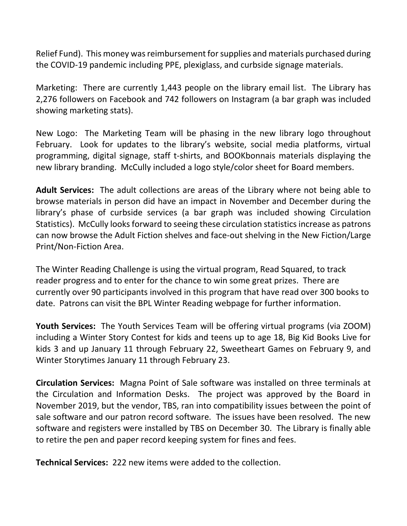Relief Fund). This money was reimbursement for supplies and materials purchased during the COVID-19 pandemic including PPE, plexiglass, and curbside signage materials.

Marketing: There are currently 1,443 people on the library email list. The Library has 2,276 followers on Facebook and 742 followers on Instagram (a bar graph was included showing marketing stats).

New Logo: The Marketing Team will be phasing in the new library logo throughout February. Look for updates to the library's website, social media platforms, virtual programming, digital signage, staff t-shirts, and BOOKbonnais materials displaying the new library branding. McCully included a logo style/color sheet for Board members.

**Adult Services:** The adult collections are areas of the Library where not being able to browse materials in person did have an impact in November and December during the library's phase of curbside services (a bar graph was included showing Circulation Statistics). McCully looks forward to seeing these circulation statistics increase as patrons can now browse the Adult Fiction shelves and face-out shelving in the New Fiction/Large Print/Non-Fiction Area.

The Winter Reading Challenge is using the virtual program, Read Squared, to track reader progress and to enter for the chance to win some great prizes. There are currently over 90 participants involved in this program that have read over 300 books to date. Patrons can visit the BPL Winter Reading webpage for further information.

**Youth Services:** The Youth Services Team will be offering virtual programs (via ZOOM) including a Winter Story Contest for kids and teens up to age 18, Big Kid Books Live for kids 3 and up January 11 through February 22, Sweetheart Games on February 9, and Winter Storytimes January 11 through February 23.

**Circulation Services:** Magna Point of Sale software was installed on three terminals at the Circulation and Information Desks. The project was approved by the Board in November 2019, but the vendor, TBS, ran into compatibility issues between the point of sale software and our patron record software. The issues have been resolved. The new software and registers were installed by TBS on December 30. The Library is finally able to retire the pen and paper record keeping system for fines and fees.

**Technical Services:** 222 new items were added to the collection.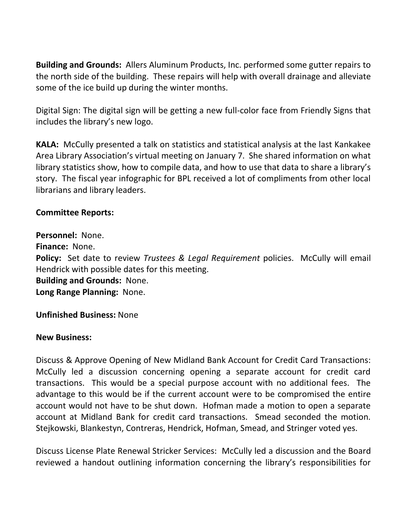**Building and Grounds:** Allers Aluminum Products, Inc. performed some gutter repairs to the north side of the building. These repairs will help with overall drainage and alleviate some of the ice build up during the winter months.

Digital Sign: The digital sign will be getting a new full-color face from Friendly Signs that includes the library's new logo.

**KALA:** McCully presented a talk on statistics and statistical analysis at the last Kankakee Area Library Association's virtual meeting on January 7. She shared information on what library statistics show, how to compile data, and how to use that data to share a library's story. The fiscal year infographic for BPL received a lot of compliments from other local librarians and library leaders.

#### **Committee Reports:**

**Personnel:** None. **Finance:** None. **Policy:** Set date to review *Trustees & Legal Requirement* policies.McCully will email Hendrick with possible dates for this meeting. **Building and Grounds:** None. **Long Range Planning:** None.

**Unfinished Business:** None

#### **New Business:**

Discuss & Approve Opening of New Midland Bank Account for Credit Card Transactions: McCully led a discussion concerning opening a separate account for credit card transactions. This would be a special purpose account with no additional fees. The advantage to this would be if the current account were to be compromised the entire account would not have to be shut down. Hofman made a motion to open a separate account at Midland Bank for credit card transactions. Smead seconded the motion. Stejkowski, Blankestyn, Contreras, Hendrick, Hofman, Smead, and Stringer voted yes.

Discuss License Plate Renewal Stricker Services: McCully led a discussion and the Board reviewed a handout outlining information concerning the library's responsibilities for